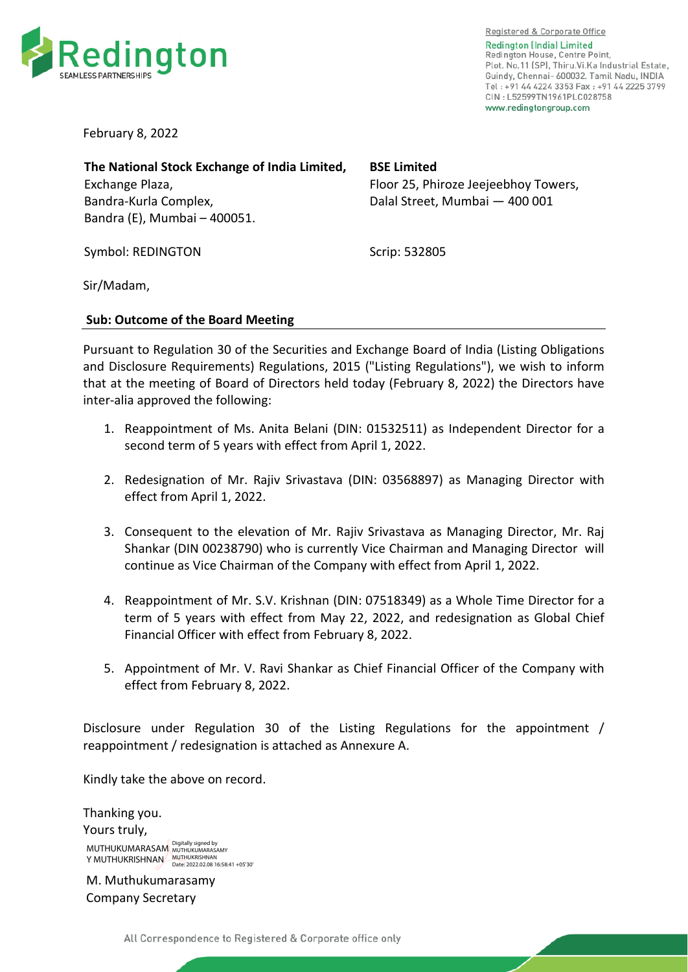

Registered & Corporate Office **Redington (India) Limited** Redington House, Centre Point, Plot. No.11 (SP), Thiru.Vi.Ka Industrial Estate, Guindy, Chennai- 600032. Tamil Nadu, INDIA Tel: +91 44 4224 3353 Fax: +91 44 2225 3799 CIN: L52599TN1961PLC028758 www.redingtongroup.com

February 8, 2022

**The National Stock Exchange of India Limited,**  Exchange Plaza, Bandra-Kurla Complex, Bandra (E), Mumbai – 400051.

Symbol: REDINGTON

**BSE Limited** 

Floor 25, Phiroze Jeejeebhoy Towers, Dalal Street, Mumbai — 400 001

Scrip: 532805

Sir/Madam,

## **Sub: Outcome of the Board Meeting**

Pursuant to Regulation 30 of the Securities and Exchange Board of India (Listing Obligations and Disclosure Requirements) Regulations, 2015 ("Listing Regulations"), we wish to inform that at the meeting of Board of Directors held today (February 8, 2022) the Directors have inter-alia approved the following:

- 1. Reappointment of Ms. Anita Belani (DIN: 01532511) as Independent Director for a second term of 5 years with effect from April 1, 2022.
- 2. Redesignation of Mr. Rajiv Srivastava (DIN: 03568897) as Managing Director with effect from April 1, 2022.
- 3. Consequent to the elevation of Mr. Rajiv Srivastava as Managing Director, Mr. Raj Shankar (DIN 00238790) who is currently Vice Chairman and Managing Director will continue as Vice Chairman of the Company with effect from April 1, 2022.
- 4. Reappointment of Mr. S.V. Krishnan (DIN: 07518349) as a Whole Time Director for a term of 5 years with effect from May 22, 2022, and redesignation as Global Chief Financial Officer with effect from February 8, 2022.
- 5. Appointment of Mr. V. Ravi Shankar as Chief Financial Officer of the Company with effect from February 8, 2022.

Disclosure under Regulation 30 of the Listing Regulations for the appointment / reappointment / redesignation is attached as Annexure A.

Kindly take the above on record.

Thanking you. Yours truly, MUTHUKUMARASAM Digitally signed by Y MUTHUKRISHNAN MUTHUKRISHNAN<br>Date: 2022.02.08 16:58:41 +05'30

M. Muthukumarasamy Company Secretary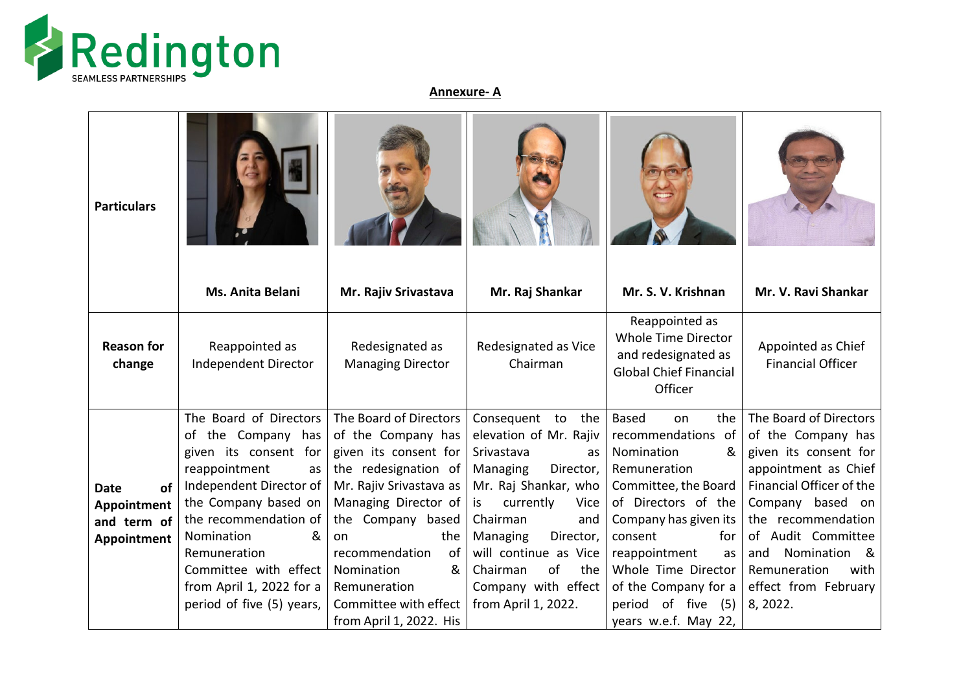

**Annexure- A**

| <b>Particulars</b>                                             | Ms. Anita Belani                                                                                                                                                                                                                                                                              | Mr. Rajiv Srivastava                                                                                                                                                                                                                                                                              | Mr. Raj Shankar                                                                                                                                                                                                                                                                         | Mr. S. V. Krishnan                                                                                                                                                                                                                                                                               | Mr. V. Ravi Shankar                                                                                                                                                                                                                                                              |
|----------------------------------------------------------------|-----------------------------------------------------------------------------------------------------------------------------------------------------------------------------------------------------------------------------------------------------------------------------------------------|---------------------------------------------------------------------------------------------------------------------------------------------------------------------------------------------------------------------------------------------------------------------------------------------------|-----------------------------------------------------------------------------------------------------------------------------------------------------------------------------------------------------------------------------------------------------------------------------------------|--------------------------------------------------------------------------------------------------------------------------------------------------------------------------------------------------------------------------------------------------------------------------------------------------|----------------------------------------------------------------------------------------------------------------------------------------------------------------------------------------------------------------------------------------------------------------------------------|
| <b>Reason for</b><br>change                                    | Reappointed as<br>Independent Director                                                                                                                                                                                                                                                        | Redesignated as<br><b>Managing Director</b>                                                                                                                                                                                                                                                       | Redesignated as Vice<br>Chairman                                                                                                                                                                                                                                                        | Reappointed as<br>Whole Time Director<br>and redesignated as<br><b>Global Chief Financial</b><br>Officer                                                                                                                                                                                         | Appointed as Chief<br><b>Financial Officer</b>                                                                                                                                                                                                                                   |
| of<br><b>Date</b><br>Appointment<br>and term of<br>Appointment | The Board of Directors<br>of the Company has<br>given its consent for<br>reappointment<br>as<br>Independent Director of<br>the Company based on<br>the recommendation of<br>&<br>Nomination<br>Remuneration<br>Committee with effect<br>from April 1, 2022 for a<br>period of five (5) years, | The Board of Directors<br>of the Company has<br>given its consent for<br>the redesignation of<br>Mr. Rajiv Srivastava as<br>Managing Director of<br>the Company based<br>the<br>on<br>of<br>recommendation<br>&<br>Nomination<br>Remuneration<br>Committee with effect<br>from April 1, 2022. His | Consequent to the<br>elevation of Mr. Rajiv<br>Srivastava<br>as<br>Managing<br>Director,<br>Mr. Raj Shankar, who<br>currently<br>Vice<br>is<br>Chairman<br>and<br>Managing<br>Director,<br>will continue as Vice<br>of<br>Chairman<br>the<br>Company with effect<br>from April 1, 2022. | <b>Based</b><br>the<br>on<br>recommendations of<br>Nomination<br>&<br>Remuneration<br>Committee, the Board<br>of Directors of the<br>Company has given its<br>consent<br>for<br>reappointment<br>as<br>Whole Time Director<br>of the Company for a<br>period of five (5)<br>years w.e.f. May 22, | The Board of Directors<br>of the Company has<br>given its consent for<br>appointment as Chief<br>Financial Officer of the<br>Company based on<br>the recommendation<br>of Audit Committee<br>and<br>Nomination<br>୍ଷ<br>Remuneration<br>with<br>effect from February<br>8, 2022. |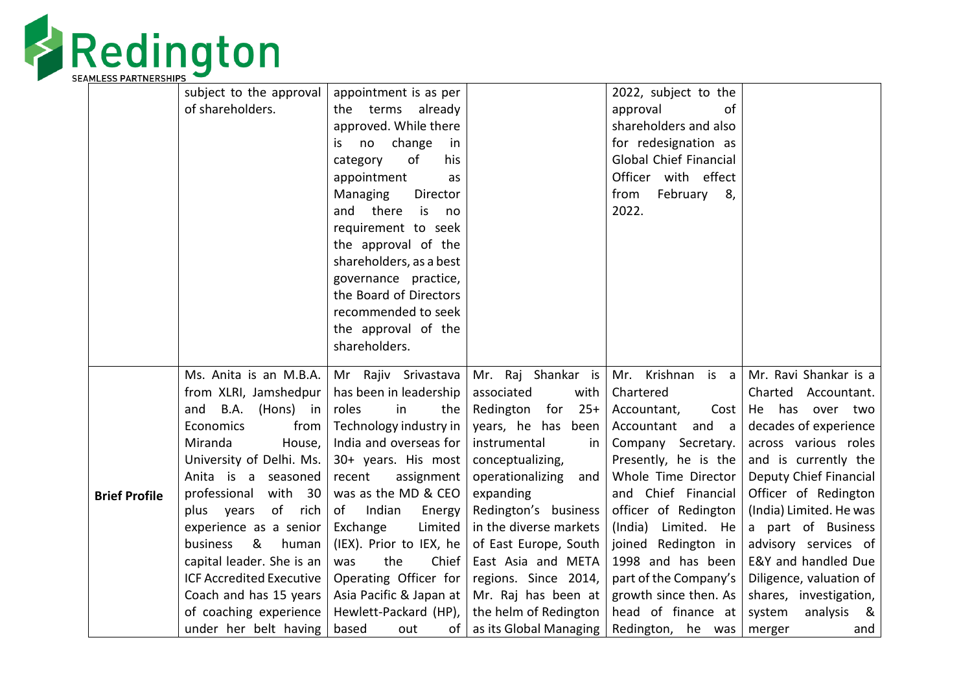

|                      | subject to the approval         | appointment is as per                         |                                          | 2022, subject to the          |                                         |
|----------------------|---------------------------------|-----------------------------------------------|------------------------------------------|-------------------------------|-----------------------------------------|
|                      | of shareholders.                | the terms already                             |                                          | approval<br>of                |                                         |
|                      |                                 | approved. While there                         |                                          | shareholders and also         |                                         |
|                      |                                 | change<br>no<br>İS.<br>in                     |                                          | for redesignation as          |                                         |
|                      |                                 | of<br>his<br>category                         |                                          | <b>Global Chief Financial</b> |                                         |
|                      |                                 | appointment<br>as                             |                                          | Officer with effect           |                                         |
|                      |                                 | Managing<br>Director                          |                                          | February 8,<br>from           |                                         |
|                      |                                 | and there<br>is<br>no                         |                                          | 2022.                         |                                         |
|                      |                                 | requirement to seek                           |                                          |                               |                                         |
|                      |                                 | the approval of the                           |                                          |                               |                                         |
|                      |                                 | shareholders, as a best                       |                                          |                               |                                         |
|                      |                                 | governance practice,                          |                                          |                               |                                         |
|                      |                                 | the Board of Directors                        |                                          |                               |                                         |
|                      |                                 | recommended to seek                           |                                          |                               |                                         |
|                      |                                 | the approval of the                           |                                          |                               |                                         |
|                      |                                 | shareholders.                                 |                                          |                               |                                         |
|                      | Ms. Anita is an M.B.A.          |                                               |                                          |                               | Mr. Krishnan is a Mr. Ravi Shankar is a |
|                      | from XLRI, Jamshedpur           | Mr Rajiv Srivastava<br>has been in leadership | Mr. Raj Shankar is<br>associated<br>with | Chartered                     | Charted Accountant.                     |
|                      | B.A.<br>and<br>(Hons) in        | roles<br>in<br>the                            | Redington<br>for<br>$25+$                | Accountant,                   | Cost   He has over two                  |
|                      | Economics<br>from               | Technology industry in                        | years, he has been                       | Accountant<br>and a           | decades of experience                   |
|                      | Miranda<br>House,               | India and overseas for                        | instrumental<br>in.                      | Company Secretary.            | across various roles                    |
|                      | University of Delhi. Ms.        | 30+ years. His most                           | conceptualizing,                         | Presently, he is the          | and is currently the                    |
|                      | Anita is a seasoned             | recent<br>assignment                          | operationalizing<br>and                  | Whole Time Director           | Deputy Chief Financial                  |
| <b>Brief Profile</b> | with 30<br>professional         | was as the MD & CEO                           | expanding                                | and Chief Financial           | Officer of Redington                    |
|                      | of rich<br>plus years           | Indian<br>of<br>Energy                        | Redington's business                     | officer of Redington          | (India) Limited. He was                 |
|                      | experience as a senior          | Exchange<br>Limited                           | in the diverse markets                   | (India)<br>Limited. He        | a part of Business                      |
|                      | &<br>business<br>human          | (IEX). Prior to IEX, he                       | of East Europe, South                    | joined Redington in           | advisory services of                    |
|                      | capital leader. She is an       | the<br>Chief<br>was                           | East Asia and META                       | 1998 and has been             | E&Y and handled Due                     |
|                      | <b>ICF Accredited Executive</b> | Operating Officer for                         | regions. Since 2014,                     | part of the Company's         | Diligence, valuation of                 |
|                      | Coach and has 15 years          | Asia Pacific & Japan at                       | Mr. Raj has been at                      | growth since then. As         | shares, investigation,                  |
|                      | of coaching experience          | Hewlett-Packard (HP),                         | the helm of Redington                    | head of finance at            | system<br>analysis<br>8                 |
|                      | under her belt having           | of<br>based<br>out                            | as its Global Managing                   | Redington, he was             | merger<br>and                           |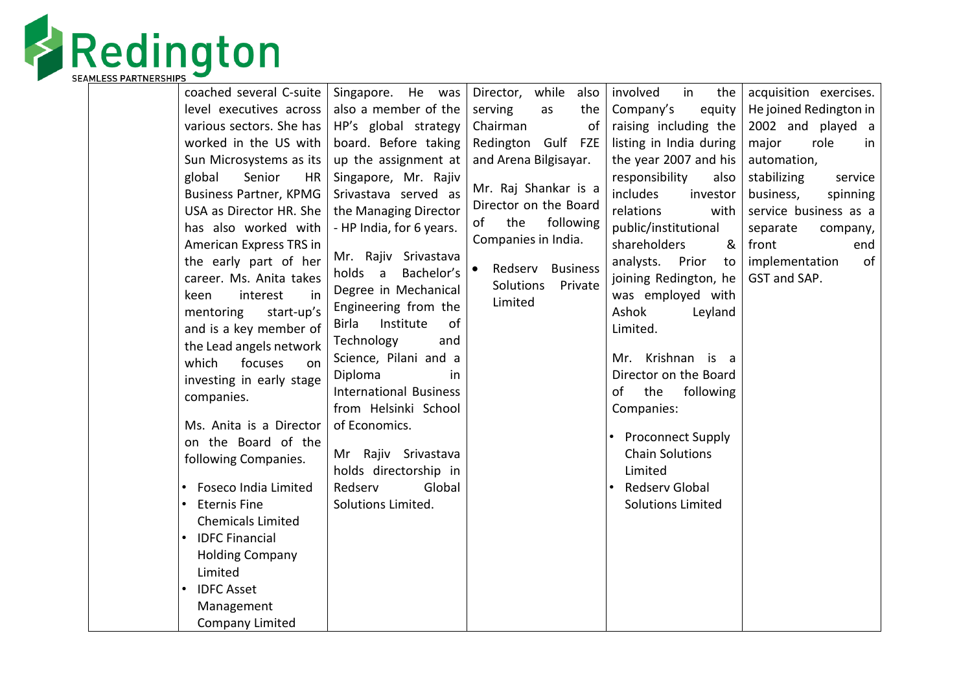

| coached several C-suite                                                                                                                                                                                                                                                                                                                                                                                   | Singapore. He was                                                                                                                                                                                                                                                                                                                                                              | Director, while<br>also                                                                                                                                         | involved<br>in<br>the                                                                                                                                                                                                                                                                                            | acquisition exercises.                                                                                                                                   |
|-----------------------------------------------------------------------------------------------------------------------------------------------------------------------------------------------------------------------------------------------------------------------------------------------------------------------------------------------------------------------------------------------------------|--------------------------------------------------------------------------------------------------------------------------------------------------------------------------------------------------------------------------------------------------------------------------------------------------------------------------------------------------------------------------------|-----------------------------------------------------------------------------------------------------------------------------------------------------------------|------------------------------------------------------------------------------------------------------------------------------------------------------------------------------------------------------------------------------------------------------------------------------------------------------------------|----------------------------------------------------------------------------------------------------------------------------------------------------------|
| level executives across                                                                                                                                                                                                                                                                                                                                                                                   | also a member of the                                                                                                                                                                                                                                                                                                                                                           | serving<br>the<br>as                                                                                                                                            | Company's<br>equity                                                                                                                                                                                                                                                                                              | He joined Redington in                                                                                                                                   |
| various sectors. She has                                                                                                                                                                                                                                                                                                                                                                                  | HP's global strategy                                                                                                                                                                                                                                                                                                                                                           | Chairman<br>of                                                                                                                                                  | raising including the                                                                                                                                                                                                                                                                                            | 2002 and played a                                                                                                                                        |
| worked in the US with                                                                                                                                                                                                                                                                                                                                                                                     | board. Before taking                                                                                                                                                                                                                                                                                                                                                           | Redington Gulf FZE                                                                                                                                              | listing in India during                                                                                                                                                                                                                                                                                          | major<br>role<br>in                                                                                                                                      |
| Sun Microsystems as its                                                                                                                                                                                                                                                                                                                                                                                   | up the assignment at                                                                                                                                                                                                                                                                                                                                                           | and Arena Bilgisayar.                                                                                                                                           | the year 2007 and his                                                                                                                                                                                                                                                                                            | automation,                                                                                                                                              |
| global<br>Senior<br><b>HR</b><br><b>Business Partner, KPMG</b><br>USA as Director HR. She<br>has also worked with<br>American Express TRS in<br>the early part of her<br>career. Ms. Anita takes<br>interest<br>keen<br>in<br>start-up's<br>mentoring<br>and is a key member of<br>the Lead angels network<br>which<br>focuses<br>on<br>investing in early stage<br>companies.<br>Ms. Anita is a Director | Singapore, Mr. Rajiv<br>Srivastava served as<br>the Managing Director<br>- HP India, for 6 years.<br>Mr. Rajiv Srivastava<br>holds a<br>Bachelor's<br>Degree in Mechanical<br>Engineering from the<br>Institute<br>of<br><b>Birla</b><br>Technology<br>and<br>Science, Pilani and a<br>Diploma<br>in<br><b>International Business</b><br>from Helsinki School<br>of Economics. | Mr. Raj Shankar is a<br>Director on the Board<br>the<br>following<br>of<br>Companies in India.<br>Redserv<br><b>Business</b><br>Solutions<br>Private<br>Limited | responsibility<br>also<br>includes<br>investor<br>relations<br>with<br>public/institutional<br>shareholders<br>&<br>analysts.<br>Prior<br>to<br>joining Redington, he<br>was employed with<br>Ashok<br>Leyland<br>Limited.<br>Mr. Krishnan is a<br>Director on the Board<br>the<br>0f<br>following<br>Companies: | stabilizing<br>service<br>business,<br>spinning<br>service business as a<br>separate<br>company,<br>front<br>end<br>implementation<br>of<br>GST and SAP. |
| on the Board of the                                                                                                                                                                                                                                                                                                                                                                                       |                                                                                                                                                                                                                                                                                                                                                                                |                                                                                                                                                                 | <b>Proconnect Supply</b><br>$\bullet$                                                                                                                                                                                                                                                                            |                                                                                                                                                          |
| following Companies.                                                                                                                                                                                                                                                                                                                                                                                      | Mr Rajiv Srivastava                                                                                                                                                                                                                                                                                                                                                            |                                                                                                                                                                 | <b>Chain Solutions</b>                                                                                                                                                                                                                                                                                           |                                                                                                                                                          |
|                                                                                                                                                                                                                                                                                                                                                                                                           | holds directorship in                                                                                                                                                                                                                                                                                                                                                          |                                                                                                                                                                 | Limited                                                                                                                                                                                                                                                                                                          |                                                                                                                                                          |
| Foseco India Limited<br>$\bullet$                                                                                                                                                                                                                                                                                                                                                                         | Global<br>Redserv                                                                                                                                                                                                                                                                                                                                                              |                                                                                                                                                                 | Redserv Global                                                                                                                                                                                                                                                                                                   |                                                                                                                                                          |
| <b>Eternis Fine</b><br>$\bullet$<br><b>Chemicals Limited</b>                                                                                                                                                                                                                                                                                                                                              | Solutions Limited.                                                                                                                                                                                                                                                                                                                                                             |                                                                                                                                                                 | <b>Solutions Limited</b>                                                                                                                                                                                                                                                                                         |                                                                                                                                                          |
| <b>IDFC Financial</b>                                                                                                                                                                                                                                                                                                                                                                                     |                                                                                                                                                                                                                                                                                                                                                                                |                                                                                                                                                                 |                                                                                                                                                                                                                                                                                                                  |                                                                                                                                                          |
| <b>Holding Company</b>                                                                                                                                                                                                                                                                                                                                                                                    |                                                                                                                                                                                                                                                                                                                                                                                |                                                                                                                                                                 |                                                                                                                                                                                                                                                                                                                  |                                                                                                                                                          |
| Limited                                                                                                                                                                                                                                                                                                                                                                                                   |                                                                                                                                                                                                                                                                                                                                                                                |                                                                                                                                                                 |                                                                                                                                                                                                                                                                                                                  |                                                                                                                                                          |
| <b>IDFC Asset</b>                                                                                                                                                                                                                                                                                                                                                                                         |                                                                                                                                                                                                                                                                                                                                                                                |                                                                                                                                                                 |                                                                                                                                                                                                                                                                                                                  |                                                                                                                                                          |
| Management                                                                                                                                                                                                                                                                                                                                                                                                |                                                                                                                                                                                                                                                                                                                                                                                |                                                                                                                                                                 |                                                                                                                                                                                                                                                                                                                  |                                                                                                                                                          |
| Company Limited                                                                                                                                                                                                                                                                                                                                                                                           |                                                                                                                                                                                                                                                                                                                                                                                |                                                                                                                                                                 |                                                                                                                                                                                                                                                                                                                  |                                                                                                                                                          |